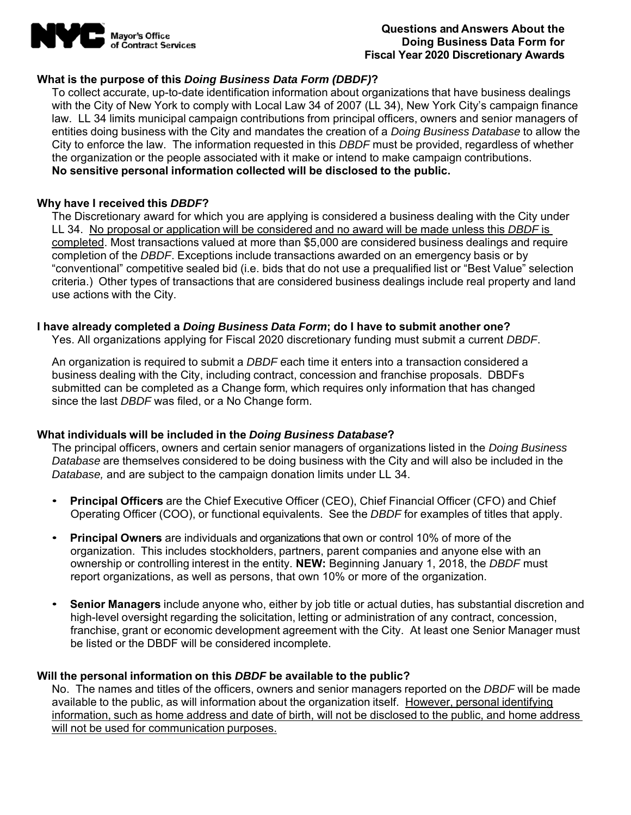

### **Questions and Answers About the Doing Business Data Form for Fiscal Year 2020 Discretionary Awards**

## **What is the purpose of this** *Doing Business Data Form (DBDF)***?**

To collect accurate, up-to-date identification information about organizations that have business dealings with the City of New York to comply with Local Law 34 of 2007 (LL 34), New York City's campaign finance law. LL 34 limits municipal campaign contributions from principal officers, owners and senior managers of entities doing business with the City and mandates the creation of a *Doing Business Database* to allow the City to enforce the law. The information requested in this *DBDF* must be provided, regardless of whether the organization or the people associated with it make or intend to make campaign contributions. **No sensitive personal information collected will be disclosed to the public.** 

### **Why have I received this** *DBDF***?**

The Discretionary award for which you are applying is considered a business dealing with the City under LL 34. No proposal or application will be considered and no award will be made unless this *DBDF* is completed. Most transactions valued at more than \$5,000 are considered business dealings and require completion of the *DBDF*. Exceptions include transactions awarded on an emergency basis or by "conventional" competitive sealed bid (i.e. bids that do not use a prequalified list or "Best Value" selection criteria.) Other types of transactions that are considered business dealings include real property and land use actions with the City.

### **I have already completed a** *Doing Business Data Form***; do I have to submit another one?**

Yes. All organizations applying for Fiscal 2020 discretionary funding must submit a current *DBDF*.

An organization is required to submit a *DBDF* each time it enters into a transaction considered a business dealing with the City, including contract, concession and franchise proposals. DBDFs submitted can be completed as a Change form, which requires only information that has changed since the last *DBDF* was filed, or a No Change form.

### **What individuals will be included in the** *Doing Business Database***?**

The principal officers, owners and certain senior managers of organizations listed in the *Doing Business Database* are themselves considered to be doing business with the City and will also be included in the *Database,* and are subject to the campaign donation limits under LL 34.

- **Principal Officers** are the Chief Executive Officer (CEO), Chief Financial Officer (CFO) and Chief Operating Officer (COO), or functional equivalents. See the *DBDF* for examples of titles that apply.
- **Principal Owners** are individuals and organizations that own or control 10% of more of the organization. This includes stockholders, partners, parent companies and anyone else with an ownership or controlling interest in the entity. **NEW:** Beginning January 1, 2018, the *DBDF* must report organizations, as well as persons, that own 10% or more of the organization.
- **Senior Managers** include anyone who, either by job title or actual duties, has substantial discretion and high-level oversight regarding the solicitation, letting or administration of any contract, concession, franchise, grant or economic development agreement with the City. At least one Senior Manager must be listed or the DBDF will be considered incomplete.

### **Will the personal information on this** *DBDF* **be available to the public?**

No. The names and titles of the officers, owners and senior managers reported on the *DBDF* will be made available to the public, as will information about the organization itself. However, personal identifying information, such as home address and date of birth, will not be disclosed to the public, and home address will not be used for communication purposes.